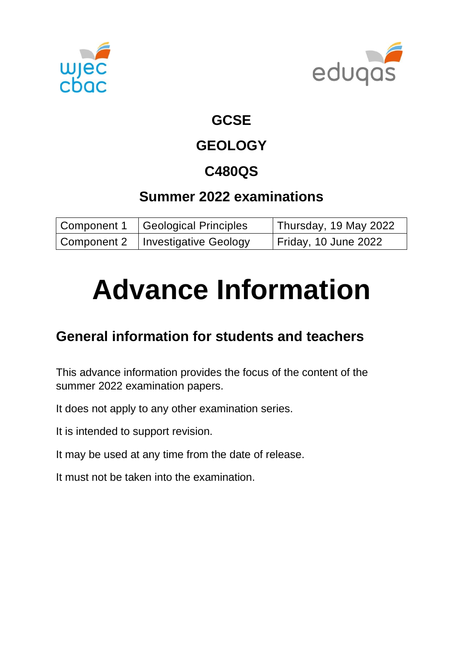



#### **GCSE**

## **GEOLOGY**

## **C480QS**

## **Summer 2022 examinations**

| Component 1   Geological Principles | Thursday, 19 May 2022       |
|-------------------------------------|-----------------------------|
| Component 2   Investigative Geology | <b>Friday, 10 June 2022</b> |

# **Advance Information**

## **General information for students and teachers**

This advance information provides the focus of the content of the summer 2022 examination papers.

It does not apply to any other examination series.

It is intended to support revision.

It may be used at any time from the date of release.

It must not be taken into the examination.